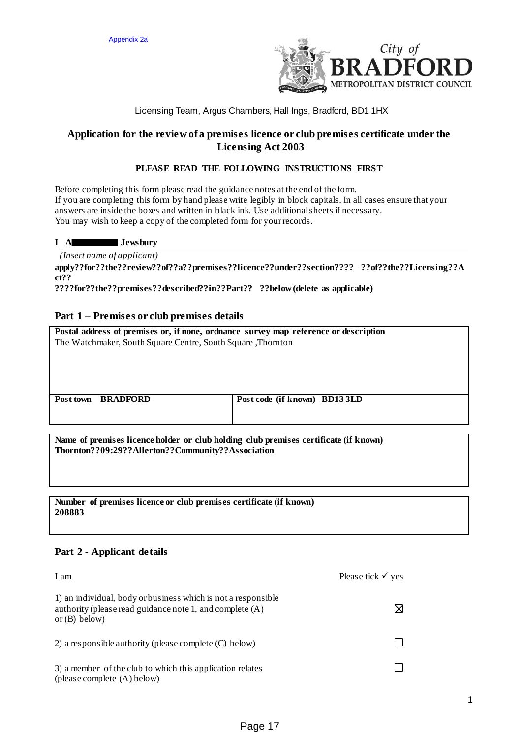

## Licensing Team, Argus Chambers, Hall Ings, Bradford, BD1 1HX

## **Application for the review of a premises licence or club premises certificate under the Licensing Act 2003**

## **PLEASE READ THE FOLLOWING INSTRUCTIONS FIRST**

Before completing this form please read the guidance notes at the end of the form. If you are completing this form by hand please write legibly in block capitals. In all cases ensure that your answers are inside the boxes and written in black ink. Use additional sheets if necessary. You may wish to keep a copy of the completed form for your records.

#### **I A Jewsbury**

 *(Insert name of applicant)*

**apply??for??the??review??of??a??premises??licence??under??section???? ??of??the??Licensing??A ct??**

**????for??the??premises??described??in??Part?? ??below(delete as applicable)**

#### **Part 1 – Premises or club premises details**

**Postal address of premises or, if none, ordnance survey map reference or description** The Watchmaker, South Square Centre, South Square ,Thornton

**Post town BRADFORD Post code (if known) BD13 3LD**

**Name of premises licence holder or club holding club premises certificate (if known) Thornton??09:29??Allerton??Community??Association**

**Number of premises licence or club premises certificate (if known) 208883**

#### **Part 2 - Applicant details**

| I am                                                                                                                                         | Please tick $\checkmark$ yes |
|----------------------------------------------------------------------------------------------------------------------------------------------|------------------------------|
| 1) an individual, body or business which is not a responsible<br>authority (please read guidance note 1, and complete (A)<br>or $(B)$ below) |                              |
| 2) a responsible authority (please complete (C) below)                                                                                       |                              |
| 3) a member of the club to which this application relates<br>(please complete (A) below)                                                     |                              |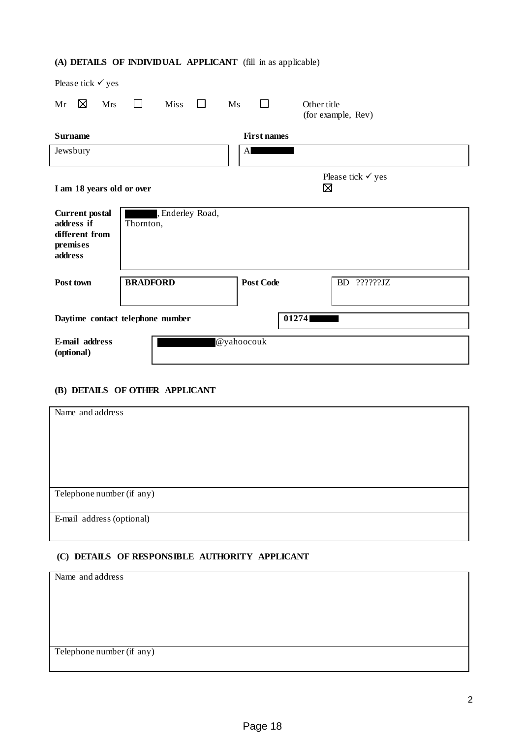# **(A) DETAILS OF INDIVIDUAL APPLICANT** (fill in as applicable)

| Please tick $\checkmark$ yes                                                 |                                  |                    |                                   |
|------------------------------------------------------------------------------|----------------------------------|--------------------|-----------------------------------|
| ⊠<br><b>Mrs</b><br>Mr                                                        | <b>Miss</b><br>$\Box$            | Ms<br>$\mathbf{I}$ | Other title<br>(for example, Rev) |
| <b>Surname</b>                                                               |                                  | <b>First names</b> |                                   |
| Jewsbury                                                                     |                                  | A                  |                                   |
| I am 18 years old or over                                                    |                                  |                    | Please tick $\checkmark$ yes<br>⊠ |
| <b>Current</b> postal<br>address if<br>different from<br>premises<br>address | , Enderley Road,<br>Thornton,    |                    |                                   |
| Post town                                                                    | <b>BRADFORD</b>                  | <b>Post Code</b>   | BD<br>??????JZ                    |
|                                                                              | Daytime contact telephone number |                    | 01274                             |
| E-mail address<br>(optional)                                                 |                                  | @yahoocouk         |                                   |

## **(B) DETAILS OF OTHER APPLICANT**

| Name and address          |
|---------------------------|
|                           |
|                           |
|                           |
|                           |
|                           |
|                           |
|                           |
|                           |
|                           |
|                           |
| Telephone number (if any) |
|                           |
|                           |
| E-mail address (optional) |
|                           |
|                           |

## **(C) DETAILS OF RESPONSIBLE AUTHORITY APPLICANT**

| Name and address          |  |
|---------------------------|--|
|                           |  |
|                           |  |
|                           |  |
|                           |  |
|                           |  |
|                           |  |
|                           |  |
|                           |  |
| Telephone number (if any) |  |
|                           |  |
|                           |  |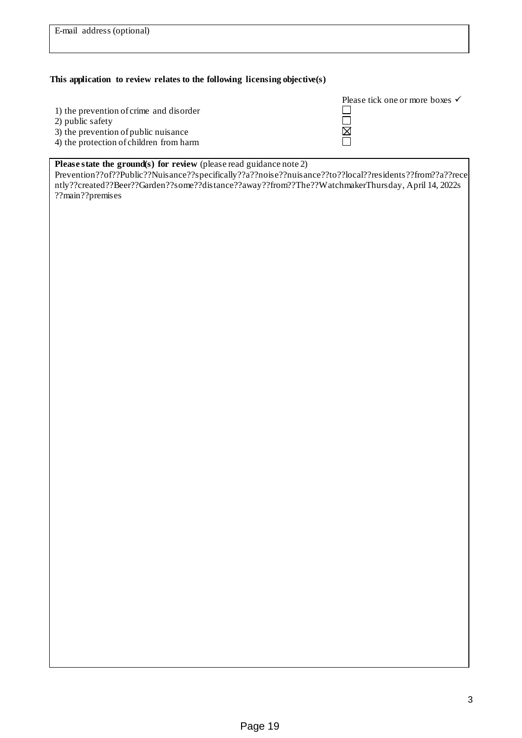#### **This application to review relates to the following licensing objective(s)**

- 1) the prevention of crime and disorder
- 2) public safety
- 3) the prevention of public nuisance
- 4) the protection of children from harm

| Please tick one or more boxes $\checkmark$ |  |
|--------------------------------------------|--|
|                                            |  |
|                                            |  |
|                                            |  |
|                                            |  |

## **Please state the ground(s) for review** (please read guidance note 2)

Prevention??of??Public??Nuisance??specifically??a??noise??nuisance??to??local??residents??from??a??rece ntly??created??Beer??Garden??some??distance??away??from??The??WatchmakerThursday, April 14, 2022s ??main??premises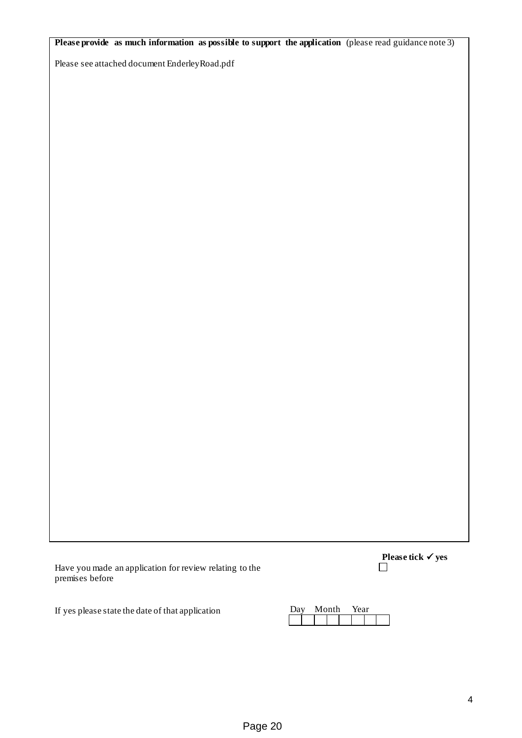**Please provide as much information as possible to support the application** (please read guidance note 3)

Please see attached document EnderleyRoad.pdf

Have you made an application for review relating to the premises before

**Please tick √ yes** 

If yes please state the date of that application

| י יומנ | vlonth | aar∼ |  |
|--------|--------|------|--|
|        |        |      |  |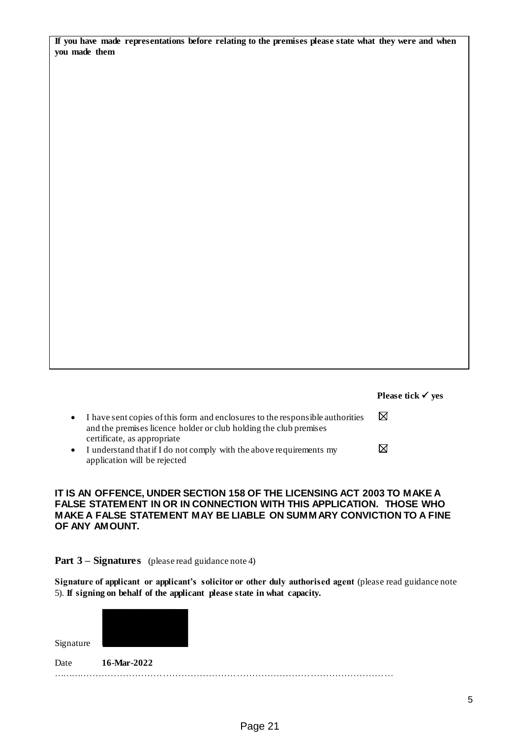|               | If you have made representations before relating to the premises please state what they were and when |  |  |  |  |
|---------------|-------------------------------------------------------------------------------------------------------|--|--|--|--|
| vou made them |                                                                                                       |  |  |  |  |

|                                                                                                                                                                                                | Please tick $\checkmark$ yes |
|------------------------------------------------------------------------------------------------------------------------------------------------------------------------------------------------|------------------------------|
| I have sent copies of this form and enclosures to the responsible authorities<br>$\bullet$<br>and the premises licence holder or club holding the club premises<br>certificate, as appropriate | ⋈                            |
| I understand that if I do not comply with the above requirements my<br>$\bullet$<br>application will be rejected                                                                               |                              |

### **IT IS AN OFFENCE, UNDER SECTION 158 OF THE LICENSING ACT 2003 TO MAKE A FALSE STATEMENT IN OR IN CONNECTION WITH THIS APPLICATION. THOSE WHO MAKE A FALSE STATEMENT MAY BE LIABLE ON SUMMARY CONVICTION TO A FINE OF ANY AMOUNT.**

## **Part 3 – Signatures** (please read guidance note 4)

**Signature of applicant or applicant's solicitor or other duly authorised agent** (please read guidance note 5). **If signing on behalf of the applicant please state in what capacity.**